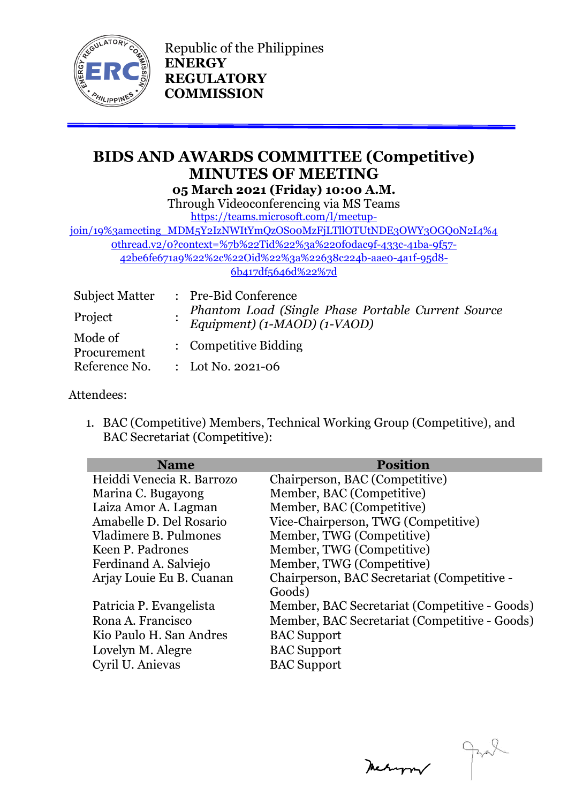

Republic of the Philippines **ENERGY REGULATORY COMMISSION**

# **BIDS AND AWARDS COMMITTEE (Competitive) MINUTES OF MEETING 05 March 2021 (Friday) 10:00 A.M.**

Through Videoconferencing via MS Teams [https://teams.microsoft.com/l/meetup-](https://teams.microsoft.com/l/meetup-join/19%3ameeting_MDM5Y2IzNWItYmQzOS00MzFjLTllOTUtNDE3OWY3OGQ0N2I4%40thread.v2/0?context=%7b%22Tid%22%3a%220f0dac9f-433c-41ba-9f57-42be6fe671a9%22%2c%22Oid%22%3a%22638c224b-aae0-4a1f-95d8-6b417df5646d%22%7d)

join/19%3ameeting\_MDM5Y2IzNWItYmQzOSooMzFjLTllOTUtNDE3OWY3OGQoN2I4%4 [0thread.v2/0?context=%7b%22Tid%22%3a%220f0dac9f-433c-41ba-9f57-](https://teams.microsoft.com/l/meetup-join/19%3ameeting_MDM5Y2IzNWItYmQzOS00MzFjLTllOTUtNDE3OWY3OGQ0N2I4%40thread.v2/0?context=%7b%22Tid%22%3a%220f0dac9f-433c-41ba-9f57-42be6fe671a9%22%2c%22Oid%22%3a%22638c224b-aae0-4a1f-95d8-6b417df5646d%22%7d)

[42be6fe671a9%22%2c%22Oid%22%3a%22638c224b-aae0-4a1f-95d8-](https://teams.microsoft.com/l/meetup-join/19%3ameeting_MDM5Y2IzNWItYmQzOS00MzFjLTllOTUtNDE3OWY3OGQ0N2I4%40thread.v2/0?context=%7b%22Tid%22%3a%220f0dac9f-433c-41ba-9f57-42be6fe671a9%22%2c%22Oid%22%3a%22638c224b-aae0-4a1f-95d8-6b417df5646d%22%7d) [6b417df5646d%22%7d](https://teams.microsoft.com/l/meetup-join/19%3ameeting_MDM5Y2IzNWItYmQzOS00MzFjLTllOTUtNDE3OWY3OGQ0N2I4%40thread.v2/0?context=%7b%22Tid%22%3a%220f0dac9f-433c-41ba-9f57-42be6fe671a9%22%2c%22Oid%22%3a%22638c224b-aae0-4a1f-95d8-6b417df5646d%22%7d)

| <b>Subject Matter</b>  | : Pre-Bid Conference                                                               |  |
|------------------------|------------------------------------------------------------------------------------|--|
| Project                | Phantom Load (Single Phase Portable Current Source<br>Equipment) (1-MAOD) (1-VAOD) |  |
| Mode of<br>Procurement | : Competitive Bidding                                                              |  |
| Reference No.          | : Lot No. 2021-06                                                                  |  |

### Attendees:

1. BAC (Competitive) Members, Technical Working Group (Competitive), and BAC Secretariat (Competitive):

| <b>Name</b>               | <b>Position</b>                               |
|---------------------------|-----------------------------------------------|
| Heiddi Venecia R. Barrozo | Chairperson, BAC (Competitive)                |
| Marina C. Bugayong        | Member, BAC (Competitive)                     |
| Laiza Amor A. Lagman      | Member, BAC (Competitive)                     |
| Amabelle D. Del Rosario   | Vice-Chairperson, TWG (Competitive)           |
| Vladimere B. Pulmones     | Member, TWG (Competitive)                     |
| Keen P. Padrones          | Member, TWG (Competitive)                     |
| Ferdinand A. Salviejo     | Member, TWG (Competitive)                     |
| Arjay Louie Eu B. Cuanan  | Chairperson, BAC Secretariat (Competitive -   |
|                           | Goods)                                        |
| Patricia P. Evangelista   | Member, BAC Secretariat (Competitive - Goods) |
| Rona A. Francisco         | Member, BAC Secretariat (Competitive - Goods) |
| Kio Paulo H. San Andres   | <b>BAC</b> Support                            |
| Lovelyn M. Alegre         | <b>BAC</b> Support                            |
| Cyril U. Anievas          | <b>BAC</b> Support                            |
|                           |                                               |

Metuppar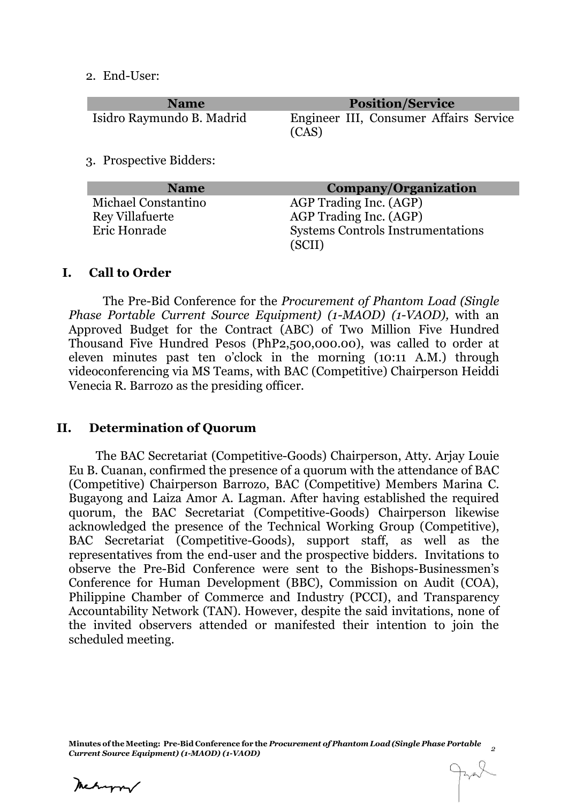2. End-User:

| <b>Name</b>               | <b>Position/Service</b>                         |
|---------------------------|-------------------------------------------------|
| Isidro Raymundo B. Madrid | Engineer III, Consumer Affairs Service<br>(CAS) |
| 3. Prospective Bidders:   |                                                 |
| <b>Name</b>               | Company/Organization                            |
| Michael Constantino       | AGP Trading Inc. (AGP)                          |
| <b>Rey Villafuerte</b>    | AGP Trading Inc. (AGP)                          |

#### **I. Call to Order**

The Pre-Bid Conference for the *Procurement of Phantom Load (Single Phase Portable Current Source Equipment) (1-MAOD) (1-VAOD),* with an Approved Budget for the Contract (ABC) of Two Million Five Hundred Thousand Five Hundred Pesos (PhP2,500,000.00), was called to order at eleven minutes past ten o'clock in the morning (10:11 A.M.) through videoconferencing via MS Teams, with BAC (Competitive) Chairperson Heiddi Venecia R. Barrozo as the presiding officer.

Eric Honrade Systems Controls Instrumentations

(SCII)

#### **II. Determination of Quorum**

The BAC Secretariat (Competitive-Goods) Chairperson, Atty. Arjay Louie Eu B. Cuanan, confirmed the presence of a quorum with the attendance of BAC (Competitive) Chairperson Barrozo, BAC (Competitive) Members Marina C. Bugayong and Laiza Amor A. Lagman. After having established the required quorum, the BAC Secretariat (Competitive-Goods) Chairperson likewise acknowledged the presence of the Technical Working Group (Competitive), BAC Secretariat (Competitive-Goods), support staff, as well as the representatives from the end-user and the prospective bidders. Invitations to observe the Pre-Bid Conference were sent to the Bishops-Businessmen's Conference for Human Development (BBC), Commission on Audit (COA), Philippine Chamber of Commerce and Industry (PCCI), and Transparency Accountability Network (TAN). However, despite the said invitations, none of the invited observers attended or manifested their intention to join the scheduled meeting.

**Minutes of the Meeting: Pre-Bid Conference for the** *Procurement of Phantom Load (Single Phase Portable Current Source Equipment) (1-MAOD) (1-VAOD)* 

Meturn/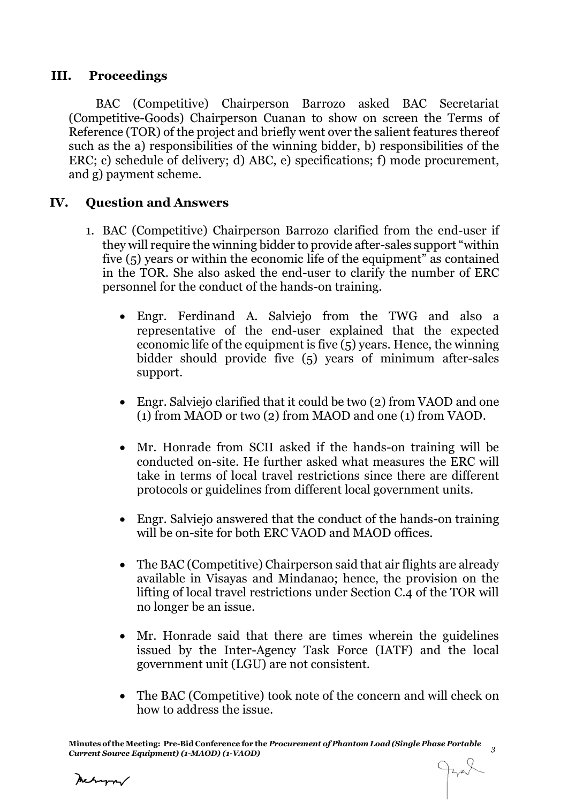### **III. Proceedings**

BAC (Competitive) Chairperson Barrozo asked BAC Secretariat (Competitive-Goods) Chairperson Cuanan to show on screen the Terms of Reference (TOR) of the project and briefly went over the salient features thereof such as the a) responsibilities of the winning bidder, b) responsibilities of the ERC; c) schedule of delivery; d) ABC, e) specifications; f) mode procurement, and g) payment scheme.

### **IV. Question and Answers**

- 1. BAC (Competitive) Chairperson Barrozo clarified from the end-user if they will require the winning bidder to provide after-sales support "within five (5) years or within the economic life of the equipment" as contained in the TOR. She also asked the end-user to clarify the number of ERC personnel for the conduct of the hands-on training.
	- Engr. Ferdinand A. Salviejo from the TWG and also a representative of the end-user explained that the expected economic life of the equipment is five (5) years. Hence, the winning bidder should provide five (5) years of minimum after-sales support.
	- Engr. Salviejo clarified that it could be two (2) from VAOD and one (1) from MAOD or two (2) from MAOD and one (1) from VAOD.
	- Mr. Honrade from SCII asked if the hands-on training will be conducted on-site. He further asked what measures the ERC will take in terms of local travel restrictions since there are different protocols or guidelines from different local government units.
	- Engr. Salviejo answered that the conduct of the hands-on training will be on-site for both ERC VAOD and MAOD offices.
	- The BAC (Competitive) Chairperson said that air flights are already available in Visayas and Mindanao; hence, the provision on the lifting of local travel restrictions under Section C.4 of the TOR will no longer be an issue.
	- Mr. Honrade said that there are times wherein the guidelines issued by the Inter-Agency Task Force (IATF) and the local government unit (LGU) are not consistent.
	- The BAC (Competitive) took note of the concern and will check on how to address the issue.

Meturn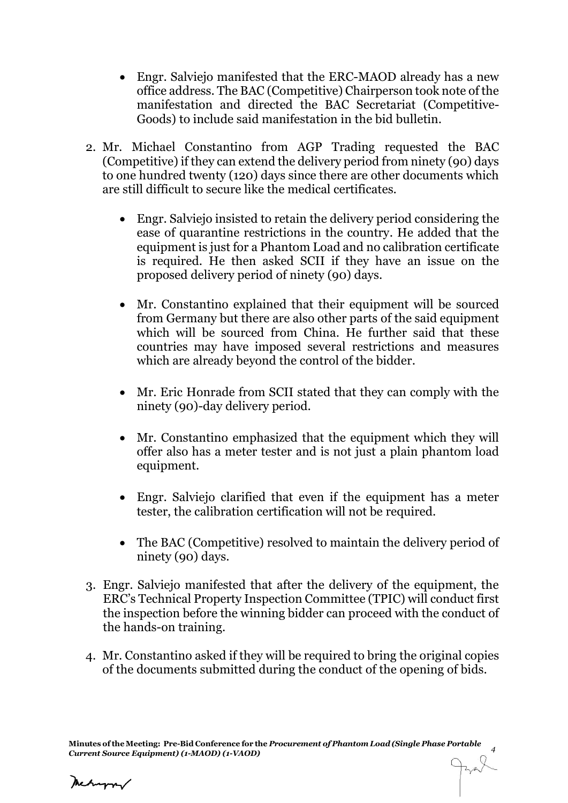- Engr. Salviejo manifested that the ERC-MAOD already has a new office address. The BAC (Competitive) Chairperson took note of the manifestation and directed the BAC Secretariat (Competitive-Goods) to include said manifestation in the bid bulletin.
- 2. Mr. Michael Constantino from AGP Trading requested the BAC (Competitive) if they can extend the delivery period from ninety (90) days to one hundred twenty (120) days since there are other documents which are still difficult to secure like the medical certificates.
	- Engr. Salviejo insisted to retain the delivery period considering the ease of quarantine restrictions in the country. He added that the equipment is just for a Phantom Load and no calibration certificate is required. He then asked SCII if they have an issue on the proposed delivery period of ninety (90) days.
	- Mr. Constantino explained that their equipment will be sourced from Germany but there are also other parts of the said equipment which will be sourced from China. He further said that these countries may have imposed several restrictions and measures which are already beyond the control of the bidder.
	- Mr. Eric Honrade from SCII stated that they can comply with the ninety (90)-day delivery period.
	- Mr. Constantino emphasized that the equipment which they will offer also has a meter tester and is not just a plain phantom load equipment.
	- Engr. Salviejo clarified that even if the equipment has a meter tester, the calibration certification will not be required.
	- The BAC (Competitive) resolved to maintain the delivery period of ninety (90) days.
- 3. Engr. Salviejo manifested that after the delivery of the equipment, the ERC's Technical Property Inspection Committee (TPIC) will conduct first the inspection before the winning bidder can proceed with the conduct of the hands-on training.
- 4. Mr. Constantino asked if they will be required to bring the original copies of the documents submitted during the conduct of the opening of bids.

Mechangra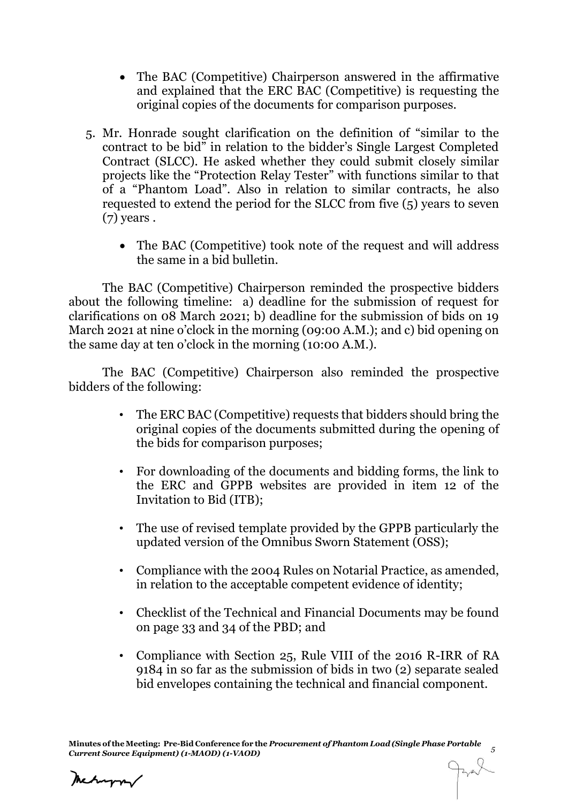- The BAC (Competitive) Chairperson answered in the affirmative and explained that the ERC BAC (Competitive) is requesting the original copies of the documents for comparison purposes.
- 5. Mr. Honrade sought clarification on the definition of "similar to the contract to be bid" in relation to the bidder's Single Largest Completed Contract (SLCC). He asked whether they could submit closely similar projects like the "Protection Relay Tester" with functions similar to that of a "Phantom Load". Also in relation to similar contracts, he also requested to extend the period for the SLCC from five (5) years to seven (7) years .
	- The BAC (Competitive) took note of the request and will address the same in a bid bulletin.

The BAC (Competitive) Chairperson reminded the prospective bidders about the following timeline: a) deadline for the submission of request for clarifications on 08 March 2021; b) deadline for the submission of bids on 19 March 2021 at nine o'clock in the morning (09:00 A.M.); and c) bid opening on the same day at ten o'clock in the morning (10:00 A.M.).

The BAC (Competitive) Chairperson also reminded the prospective bidders of the following:

- The ERC BAC (Competitive) requests that bidders should bring the original copies of the documents submitted during the opening of the bids for comparison purposes;
- For downloading of the documents and bidding forms, the link to the ERC and GPPB websites are provided in item 12 of the Invitation to Bid (ITB);
- The use of revised template provided by the GPPB particularly the updated version of the Omnibus Sworn Statement (OSS);
- Compliance with the 2004 Rules on Notarial Practice, as amended, in relation to the acceptable competent evidence of identity;
- Checklist of the Technical and Financial Documents may be found on page 33 and 34 of the PBD; and
- Compliance with Section 25, Rule VIII of the 2016 R-IRR of RA 9184 in so far as the submission of bids in two (2) separate sealed bid envelopes containing the technical and financial component.

Mehappy